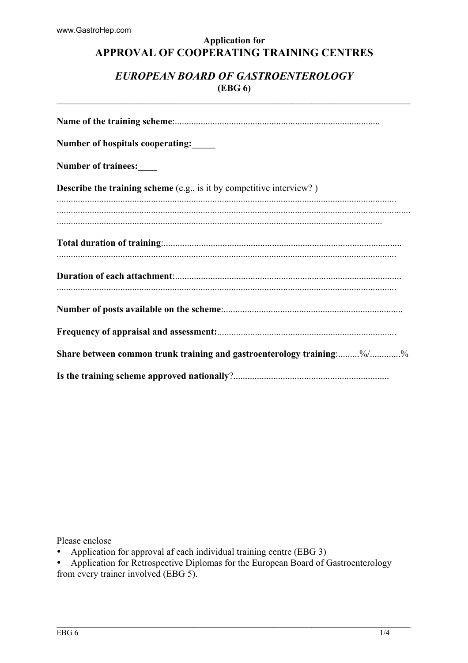# **Application for** APPROVAL OF COOPERATING TRAINING CENTRES

# EUROPEAN BOARD OF GASTROENTEROLOGY  $(EBG 6)$

| <b>Number of hospitals cooperating:</b>                                     |
|-----------------------------------------------------------------------------|
| Number of trainees:                                                         |
| <b>Describe the training scheme</b> (e.g., is it by competitive interview?) |
|                                                                             |
|                                                                             |
|                                                                             |
|                                                                             |
|                                                                             |
|                                                                             |
| Share between common trunk training and gastroenterology training:%/%       |
|                                                                             |

Please enclose

- Application for approval af each individual training centre (EBG 3)  $\bullet$
- Application for Retrospective Diplomas for the European Board of Gastroenterology from every trainer involved (EBG 5).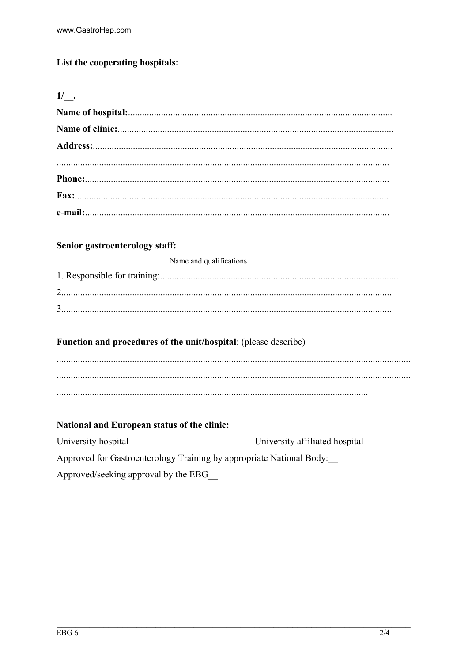# List the cooperating hospitals:

|--|--|

#### Senior gastroenterology staff:

Name and qualifications

# Function and procedures of the unit/hospital: (please describe)

 $\ldots$  .

# National and European status of the clinic:

University hospital University affiliated hospital Approved for Gastroenterology Training by appropriate National Body: Approved/seeking approval by the EBG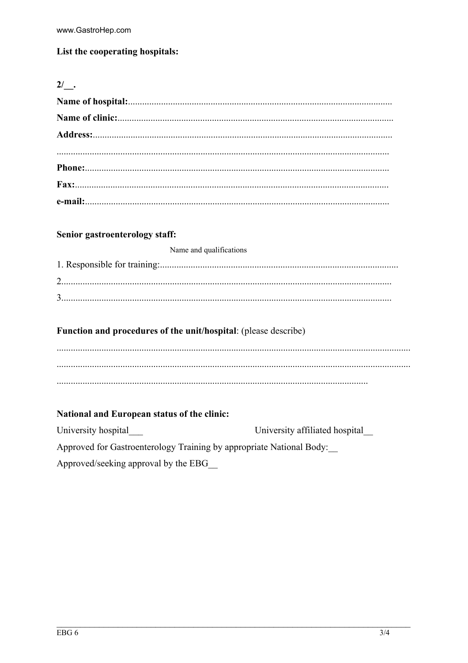# List the cooperating hospitals:

#### $2/$  .

#### Senior gastroenterology staff:

| Name and qualifications |  |  |  |  |  |
|-------------------------|--|--|--|--|--|
|-------------------------|--|--|--|--|--|

#### Function and procedures of the unit/hospital: (please describe)

# National and European status of the clinic:

University hospital University affiliated hospital Approved for Gastroenterology Training by appropriate National Body: Approved/seeking approval by the EBG\_